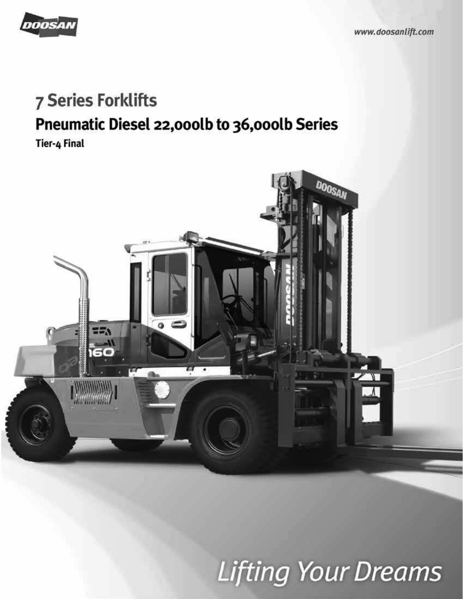

## **7 Series Forklifts**

# **Pneumatic Diesel 22,000lb to 36,000lb Series**<br>Tier-4 Final



## **Lifting Your Dreams**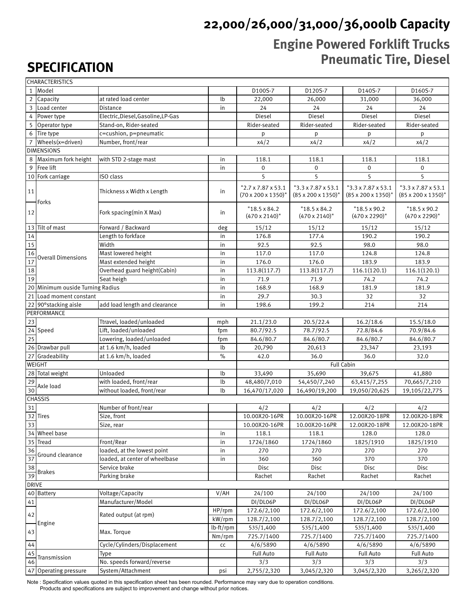## **22,000/26,000/31,000/36,000lb Capacity**

#### **Engine Powered Forklift Trucks Pneumatic Tire, Diesel**

## **SPECIFICATION**

|              | CHARACTERISTICS                  |                                    |           |                                                                    |                                                                   |                                                                   |                                                                    |  |  |  |  |
|--------------|----------------------------------|------------------------------------|-----------|--------------------------------------------------------------------|-------------------------------------------------------------------|-------------------------------------------------------------------|--------------------------------------------------------------------|--|--|--|--|
| $\mathbf{1}$ | <i>Model</i>                     |                                    |           | D100S-7                                                            | D120S-7                                                           | D140S-7                                                           | D160S-7                                                            |  |  |  |  |
|              | 2 Capacity                       | at rated load center               | lb        | 22,000                                                             | 26,000                                                            | 31,000                                                            | 36,000                                                             |  |  |  |  |
|              | 3 Load center                    | Distance                           | in        | 24                                                                 | 24                                                                | 24                                                                | 24                                                                 |  |  |  |  |
|              | 4 Power type                     | Electric, Diesel, Gasoline, LP-Gas |           | Diesel                                                             | Diesel                                                            | Diesel                                                            | Diesel                                                             |  |  |  |  |
| 5            | Operator type                    | Stand-on, Rider-seated             |           | Rider-seated                                                       | Rider-seated                                                      | Rider-seated                                                      | Rider-seated                                                       |  |  |  |  |
|              | 6 Tire type                      | c=cushion, p=pneumatic             |           | p                                                                  | p                                                                 | p                                                                 | p                                                                  |  |  |  |  |
|              | 7 $Wheels(x=driven)$             | Number, front/rear                 |           | x4/2                                                               | x4/2                                                              | x4/2                                                              | x4/2                                                               |  |  |  |  |
|              | <b>DIMENSIONS</b>                |                                    |           |                                                                    |                                                                   |                                                                   |                                                                    |  |  |  |  |
| 8            | Maximum fork height              | with STD 2-stage mast              | in        | 118.1                                                              | 118.1                                                             | 118.1                                                             | 118.1                                                              |  |  |  |  |
| 9            | Free lift                        |                                    | in        | $\mathbf 0$                                                        | $\mathbf{0}$                                                      | $\mathbf{0}$                                                      | $\mathbf 0$                                                        |  |  |  |  |
|              | 10 Fork carriage                 | ISO class                          |           | 5                                                                  | 5                                                                 | 5                                                                 | 5                                                                  |  |  |  |  |
| 11           | Forks                            | Thickness x Width x Length         | in        | " $2.7 \times 7.87 \times 53.1$<br>$(70 \times 200 \times 1350)$ " | $"3.3 \times 7.87 \times 53.1$<br>$(85 \times 200 \times 1350)$ " | $"3.3 \times 7.87 \times 53.1$<br>$(85 \times 200 \times 1350)$ " | $"3.3 \times 7.87 \times 53.1"$<br>$(85 \times 200 \times 1350)$ " |  |  |  |  |
| 12           |                                  | Fork spacing(min X Max)            | in        | $"18.5 \times 84.2"$<br>$(470 \times 2140)$ "                      | $"18.5 \times 84.2"$<br>$(470 \times 2140)$ "                     | $"18.5 \times 90.2"$<br>$(470 \times 2290)$ "                     | $"18.5 \times 90.2"$<br>$(470 \times 2290)$ "                      |  |  |  |  |
|              | 13 Tilt of mast                  | Forward / Backward                 | deg       | 15/12                                                              | 15/12                                                             | 15/12                                                             | 15/12                                                              |  |  |  |  |
| $14$         |                                  | Length to forkface                 | in        | 176.8                                                              | 177.4                                                             | 190.2                                                             | 190.2                                                              |  |  |  |  |
| 15           |                                  | Width                              | in        | 92.5                                                               | 92.5                                                              | 98.0                                                              | 98.0                                                               |  |  |  |  |
| 16           | <b>Overall Dimensions</b>        | Mast lowered height                | in        | 117.0                                                              | 117.0                                                             | 124.8                                                             | 124.8                                                              |  |  |  |  |
| 17           |                                  | Mast extended height               | in        | 176.0                                                              | 176.0                                                             | 183.9                                                             | 183.9                                                              |  |  |  |  |
| 18           |                                  | Overhead guard height(Cabin)       | in        | 113.8(117.7)                                                       | 113.8(117.7)                                                      | 116.1(120.1)                                                      | 116.1(120.1)                                                       |  |  |  |  |
| 19           |                                  | Seat heigh                         | in        | 71.9                                                               | 71.9                                                              | 74.2                                                              | 74.2                                                               |  |  |  |  |
|              | 20 Minimum ouside Turning Radius |                                    | in        | 168.9                                                              | 168.9                                                             | 181.9                                                             | 181.9                                                              |  |  |  |  |
| 21           | Load moment constant             |                                    | in        | 29.7                                                               | 30.3                                                              | 32                                                                | 32                                                                 |  |  |  |  |
|              | 22 90° stacking aisle            | add load length and clearance      | in        | 198.6                                                              | 199.2                                                             | 214                                                               | 214                                                                |  |  |  |  |
|              | PERFORMANCE                      |                                    |           |                                                                    |                                                                   |                                                                   |                                                                    |  |  |  |  |
| 23           |                                  | Ttravel, loaded/unloaded           | mph       | 21.1/23.0                                                          | 20.5/22.4                                                         | 16.2/18.6                                                         | 15.5/18.0                                                          |  |  |  |  |
|              | $\overline{2}$ 4 Speed           | Lift, loaded/unloaded              | fpm       | 80.7/92.5                                                          | 78.7/92.5                                                         | 72.8/84.6                                                         | 70.9/84.6                                                          |  |  |  |  |
| 25           |                                  | Lowering, loaded/unloaded          | fpm       | 84.6/80.7                                                          | 84.6/80.7                                                         | 84.6/80.7                                                         | 84.6/80.7                                                          |  |  |  |  |
|              | 26 Drawbar pull                  | at 1.6 km/h, loaded                | lb        | 20,790                                                             | 20,613                                                            | 23,347                                                            | 23,193                                                             |  |  |  |  |
|              | 27 Gradeability                  | at 1.6 km/h, loaded                | $\%$      | 42.0                                                               | 36.0                                                              | 36.0                                                              | 32.0                                                               |  |  |  |  |
|              | WEIGHT                           |                                    |           | <b>Full Cabin</b>                                                  |                                                                   |                                                                   |                                                                    |  |  |  |  |
|              | 28 Total weight                  | Unloaded                           | lb        | 33,490                                                             | 35,690                                                            | 39,675                                                            | 41,880                                                             |  |  |  |  |
| 29           | Axle load                        | with loaded, front/rear            | lb        | 48,480/7,010                                                       | 54,450/7,240                                                      | 63,415/7,255                                                      | 70,665/7,210                                                       |  |  |  |  |
| 30           |                                  | without loaded, front/rear         | lb        | 16,470/17,020                                                      | 16,490/19,200                                                     | 19,050/20,625                                                     | 19,105/22,775                                                      |  |  |  |  |
|              | <b>CHASSIS</b>                   |                                    |           |                                                                    |                                                                   |                                                                   |                                                                    |  |  |  |  |
| 31           |                                  | Number of front/rear               |           | 4/2                                                                | 4/2                                                               | 4/2                                                               | 4/2                                                                |  |  |  |  |
|              | 32 Tires                         | Size, front                        |           | 10.00X20-16PR                                                      | 10.00X20-16PR                                                     | 12.00X20-18PR                                                     | 12.00X20-18PR                                                      |  |  |  |  |
| 33           |                                  | Size, rear                         |           | 10.00X20-16PR                                                      | 10.00X20-16PR                                                     | 12.00X20-18PR                                                     | 12.00X20-18PR                                                      |  |  |  |  |
|              | 34 Wheel base                    |                                    | in        | 118.1                                                              | 118.1                                                             | 128.0                                                             | 128.0                                                              |  |  |  |  |
|              | 35 Tread                         | Front/Rear                         | in        | 1724/1860                                                          | 1724/1860                                                         | 1825/1910                                                         | 1825/1910                                                          |  |  |  |  |
| 36           | Ground clearance                 | loaded, at the lowest point        | in        | 270                                                                | 270                                                               | 270                                                               | 270                                                                |  |  |  |  |
| 37           |                                  | loaded, at center of wheelbase     | in        | 360                                                                | 360                                                               | 370                                                               | 370                                                                |  |  |  |  |
| 38           | <b>Brakes</b>                    | Service brake                      |           | Disc                                                               | Disc                                                              | Disc                                                              | Disc                                                               |  |  |  |  |
| 39           |                                  | Parking brake                      |           | Rachet                                                             | Rachet                                                            | Rachet                                                            | Rachet                                                             |  |  |  |  |
| <b>DRIVE</b> |                                  |                                    |           |                                                                    |                                                                   |                                                                   |                                                                    |  |  |  |  |
|              | 40 Battery                       | Voltage/Capacity                   | V/AH      | 24/100                                                             | 24/100                                                            | 24/100                                                            | 24/100                                                             |  |  |  |  |
| 41           |                                  | Manufacturer/Model                 |           | DI/DL06P                                                           | DI/DL06P                                                          | DI/DL06P                                                          | DI/DL06P                                                           |  |  |  |  |
| 42           |                                  | Rated output (at rpm)              | HP/rpm    | 172.6/2,100                                                        | 172.6/2,100                                                       | 172.6/2,100                                                       | 172.6/2,100                                                        |  |  |  |  |
|              | Engine                           |                                    | kW/rpm    | 128.7/2,100                                                        | 128.7/2,100                                                       | 128.7/2,100                                                       | 128.7/2,100                                                        |  |  |  |  |
| 43           |                                  | Max. Torque                        | lb·ft/rpm | 535/1,400                                                          | 535/1,400                                                         | 535/1,400                                                         | 535/1,400                                                          |  |  |  |  |
|              |                                  |                                    | Nm/rpm    | 725.7/1400                                                         | 725.7/1400                                                        | 725.7/1400                                                        | 725.7/1400                                                         |  |  |  |  |
| 44           |                                  | Cycle/Cylinders/Displacement       | cc        | 4/6/5890                                                           | 4/6/5890                                                          | 4/6/5890                                                          | 4/6/5890                                                           |  |  |  |  |
| 45<br>46     | Transmission                     | Type                               |           | <b>Full Auto</b>                                                   | <b>Full Auto</b>                                                  | <b>Full Auto</b>                                                  | <b>Full Auto</b>                                                   |  |  |  |  |
|              |                                  | No. speeds forward/reverse         |           | 3/3                                                                | 3/3                                                               | 3/3                                                               | 3/3                                                                |  |  |  |  |
|              | 47 Operating pressure            | System/Attachment                  | psi       | 2,755/2,320                                                        | 3,045/2,320                                                       | 3,045/2,320                                                       | 3,265/2,320                                                        |  |  |  |  |

Note : Specification values quoted in this specification sheet has been rounded. Performance may vary due to operation conditions. Products and specifications are subject to improvement and change without prior notices.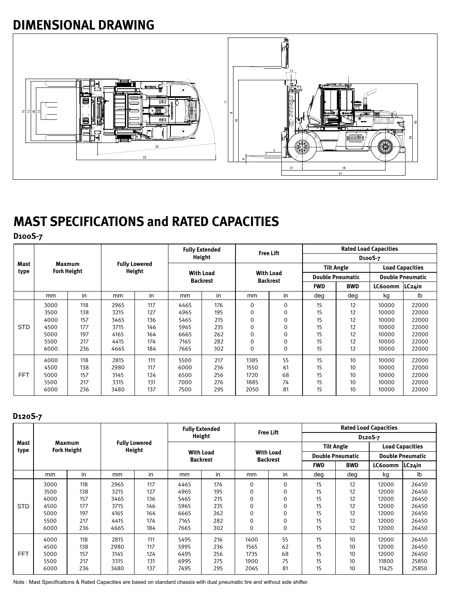#### **DIMENSIONAL DRAWING**



### **MAST SPECIFICATIONS and RATED CAPACITIES**

**D100S-7**

|              |                                     |     |                                | <b>Fully Extended</b> |                                     |     |                                     |          | <b>Rated Load Capacities</b> |            |                         |                |  |
|--------------|-------------------------------------|-----|--------------------------------|-----------------------|-------------------------------------|-----|-------------------------------------|----------|------------------------------|------------|-------------------------|----------------|--|
|              | <b>Maxmum</b><br><b>Fork Height</b> |     | <b>Fully Lowered</b><br>Height |                       | Height                              |     | <b>Free Lift</b>                    |          | D <sub>100</sub> S-7         |            |                         |                |  |
| Mast<br>type |                                     |     |                                |                       | <b>With Load</b><br><b>Backrest</b> |     | <b>With Load</b><br><b>Backrest</b> |          | <b>Tilt Angle</b>            |            | <b>Load Capacities</b>  |                |  |
|              |                                     |     |                                |                       |                                     |     |                                     |          | <b>Double Pneumatic</b>      |            | <b>Double Pneumatic</b> |                |  |
|              |                                     |     |                                |                       |                                     |     |                                     |          | <b>FWD</b>                   | <b>BWD</b> | LC600mm                 | LC24in         |  |
|              | mm                                  | in  | mm                             | in                    | mm                                  | in  | mm                                  | in       | deg                          | deg        | kg                      | I <sub>b</sub> |  |
|              | 3000                                | 118 | 2965                           | 117                   | 4465                                | 176 | 0                                   | 0        | 15                           | 12         | 10000                   | 22000          |  |
|              | 3500                                | 138 | 3215                           | 127                   | 4965                                | 195 | 0                                   | 0        | 15                           | 12         | 10000                   | 22000          |  |
|              | 4000                                | 157 | 3465                           | 136                   | 5465                                | 215 | 0                                   | 0        | 15                           | 12         | 10000                   | 22000          |  |
| <b>STD</b>   | 4500                                | 177 | 3715                           | 146                   | 5965                                | 235 | 0                                   | $\Omega$ | 15                           | 12         | 10000                   | 22000          |  |
|              | 5000                                | 197 | 4165                           | 164                   | 6665                                | 262 | $\Omega$                            | $\Omega$ | 15                           | 12         | 10000                   | 22000          |  |
|              | 5500                                | 217 | 4415                           | 174                   | 7165                                | 282 | $\Omega$                            | $\Omega$ | 15                           | 12         | 10000                   | 22000          |  |
|              | 6000                                | 236 | 4665                           | 184                   | 7665                                | 302 | 0                                   | 0        | 15                           | 12         | 10000                   | 22000          |  |
|              | 4000                                | 118 | 2815                           | 111                   | 5500                                | 217 | 1385                                | 55       | 15                           | 10         | 10000                   | 22000          |  |
|              | 4500                                | 138 | 2980                           | 117                   | 6000                                | 236 | 1550                                | 61       | 15                           | 10         | 10000                   | 22000          |  |
| <b>FFT</b>   | 5000                                | 157 | 3145                           | 124                   | 6500                                | 256 | 1720                                | 68       | 15                           | 10         | 10000                   | 22000          |  |
|              | 5500                                | 217 | 3315                           | 131                   | 7000                                | 276 | 1885                                | 74       | 15                           | 10         | 10000                   | 22000          |  |
|              | 6000                                | 236 | 3480                           | 137                   | 7500                                | 295 | 2050                                | 81       | 15                           | 10         | 10000                   | 22000          |  |

#### **D120S-7**

|              |                              | <b>Fully Extended</b> |                                |     | Height                              |     |                                     | <b>Free Lift</b> | <b>Rated Load Capacities</b> |            |                         |            |
|--------------|------------------------------|-----------------------|--------------------------------|-----|-------------------------------------|-----|-------------------------------------|------------------|------------------------------|------------|-------------------------|------------|
|              |                              |                       |                                |     |                                     |     |                                     |                  | D <sub>120</sub> S-7         |            |                         |            |
| Mast<br>type | Maxmum<br><b>Fork Height</b> |                       | <b>Fully Lowered</b><br>Height |     | <b>With Load</b><br><b>Backrest</b> |     | <b>With Load</b><br><b>Backrest</b> |                  | <b>Tilt Angle</b>            |            | <b>Load Capacities</b>  |            |
|              |                              |                       |                                |     |                                     |     |                                     |                  | <b>Double Pneumatic</b>      |            | <b>Double Pneumatic</b> |            |
|              |                              |                       |                                |     |                                     |     |                                     |                  | <b>FWD</b>                   | <b>BWD</b> | LC600mm                 | $ LC24$ in |
|              | mm                           | in                    | mm                             | in  | mm                                  | in  | mm                                  | in               | deg                          | deg        | kg                      | Ib         |
|              | 3000                         | 118                   | 2965                           | 117 | 4465                                | 176 | 0                                   | 0                | 15                           | 12         | 12000                   | 26450      |
|              | 3500                         | 138                   | 3215                           | 127 | 4965                                | 195 | 0                                   | 0                | 15                           | 12         | 12000                   | 26450      |
|              | 4000                         | 157                   | 3465                           | 136 | 5465                                | 215 | $\mathbf 0$                         | 0                | 15                           | 12         | 12000                   | 26450      |
| <b>STD</b>   | 4500                         | 177                   | 3715                           | 146 | 5965                                | 235 | $\mathbf 0$                         | 0                | 15                           | 12         | 12000                   | 26450      |
|              | 5000                         | 197                   | 4165                           | 164 | 6665                                | 262 | $\mathbf 0$                         | 0                | 15                           | 12         | 12000                   | 26450      |
|              | 5500                         | 217                   | 4415                           | 174 | 7165                                | 282 | 0                                   | 0                | 15                           | 12         | 12000                   | 26450      |
|              | 6000                         | 236                   | 4665                           | 184 | 7665                                | 302 | 0                                   | 0                | 15                           | 12         | 12000                   | 26450      |
|              | 4000                         | 118                   | 2815                           | 111 | 5495                                | 216 | 1400                                | 55               | 15                           | 10         | 12000                   | 26450      |
|              | 4500                         | 138                   | 2980                           | 117 | 5995                                | 236 | 1565                                | 62               | 15                           | 10         | 12000                   | 26450      |
| <b>FFT</b>   | 5000                         | 157                   | 3145                           | 124 | 6495                                | 256 | 1735                                | 68               | 15                           | 10         | 12000                   | 26450      |
|              | 5500                         | 217                   | 3315                           | 131 | 6995                                | 275 | 1900                                | 75               | 15                           | 10         | 11800                   | 25850      |
|              | 6000                         | 236                   | 3480                           | 137 | 7495                                | 295 | 2065                                | 81               | 15                           | 10         | 11425                   | 25850      |

Note : Mast Specifications & Rated Capacities are based on standard chassis with dual pneumatic tire and without side shifter.